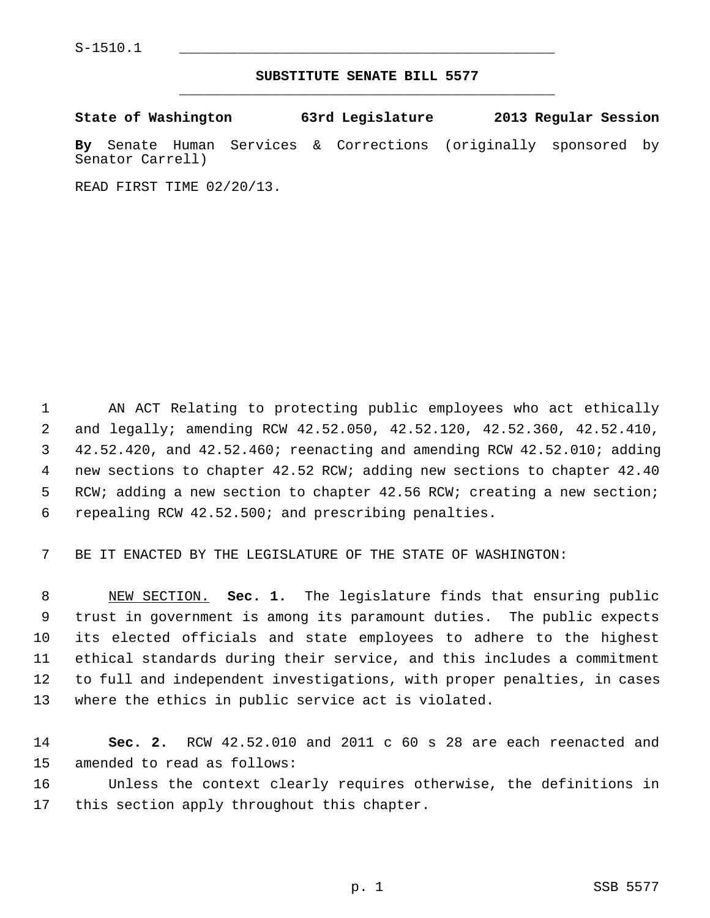## **SUBSTITUTE SENATE BILL 5577** \_\_\_\_\_\_\_\_\_\_\_\_\_\_\_\_\_\_\_\_\_\_\_\_\_\_\_\_\_\_\_\_\_\_\_\_\_\_\_\_\_\_\_\_\_

| State of Washington |  | 63rd Legislature                                                | 2013 Regular Session |  |
|---------------------|--|-----------------------------------------------------------------|----------------------|--|
|                     |  | By Senate Human Services & Corrections (originally sponsored by |                      |  |
| Senator Carrell)    |  |                                                                 |                      |  |

READ FIRST TIME 02/20/13.

 1 AN ACT Relating to protecting public employees who act ethically 2 and legally; amending RCW 42.52.050, 42.52.120, 42.52.360, 42.52.410, 3 42.52.420, and 42.52.460; reenacting and amending RCW 42.52.010; adding 4 new sections to chapter 42.52 RCW; adding new sections to chapter 42.40 5 RCW; adding a new section to chapter 42.56 RCW; creating a new section; 6 repealing RCW 42.52.500; and prescribing penalties.

7 BE IT ENACTED BY THE LEGISLATURE OF THE STATE OF WASHINGTON:

 8 NEW SECTION. **Sec. 1.** The legislature finds that ensuring public 9 trust in government is among its paramount duties. The public expects 10 its elected officials and state employees to adhere to the highest 11 ethical standards during their service, and this includes a commitment 12 to full and independent investigations, with proper penalties, in cases 13 where the ethics in public service act is violated.

14 **Sec. 2.** RCW 42.52.010 and 2011 c 60 s 28 are each reenacted and 15 amended to read as follows:

16 Unless the context clearly requires otherwise, the definitions in 17 this section apply throughout this chapter.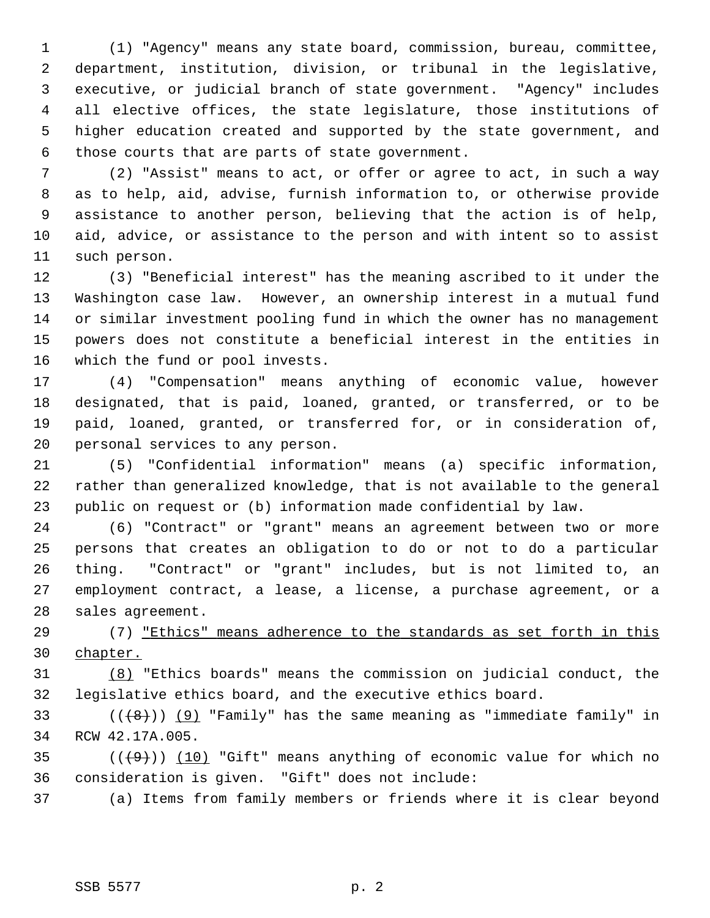1 (1) "Agency" means any state board, commission, bureau, committee, 2 department, institution, division, or tribunal in the legislative, 3 executive, or judicial branch of state government. "Agency" includes 4 all elective offices, the state legislature, those institutions of 5 higher education created and supported by the state government, and 6 those courts that are parts of state government.

 7 (2) "Assist" means to act, or offer or agree to act, in such a way 8 as to help, aid, advise, furnish information to, or otherwise provide 9 assistance to another person, believing that the action is of help, 10 aid, advice, or assistance to the person and with intent so to assist 11 such person.

12 (3) "Beneficial interest" has the meaning ascribed to it under the 13 Washington case law. However, an ownership interest in a mutual fund 14 or similar investment pooling fund in which the owner has no management 15 powers does not constitute a beneficial interest in the entities in 16 which the fund or pool invests.

17 (4) "Compensation" means anything of economic value, however 18 designated, that is paid, loaned, granted, or transferred, or to be 19 paid, loaned, granted, or transferred for, or in consideration of, 20 personal services to any person.

21 (5) "Confidential information" means (a) specific information, 22 rather than generalized knowledge, that is not available to the general 23 public on request or (b) information made confidential by law.

24 (6) "Contract" or "grant" means an agreement between two or more 25 persons that creates an obligation to do or not to do a particular 26 thing. "Contract" or "grant" includes, but is not limited to, an 27 employment contract, a lease, a license, a purchase agreement, or a 28 sales agreement.

29 (7) "Ethics" means adherence to the standards as set forth in this 30 chapter.

31 (8) "Ethics boards" means the commission on judicial conduct, the 32 legislative ethics board, and the executive ethics board.

33  $((+8))$  (9) "Family" has the same meaning as "immediate family" in 34 RCW 42.17A.005.

35  $((+9))$  (10) "Gift" means anything of economic value for which no 36 consideration is given. "Gift" does not include:

37 (a) Items from family members or friends where it is clear beyond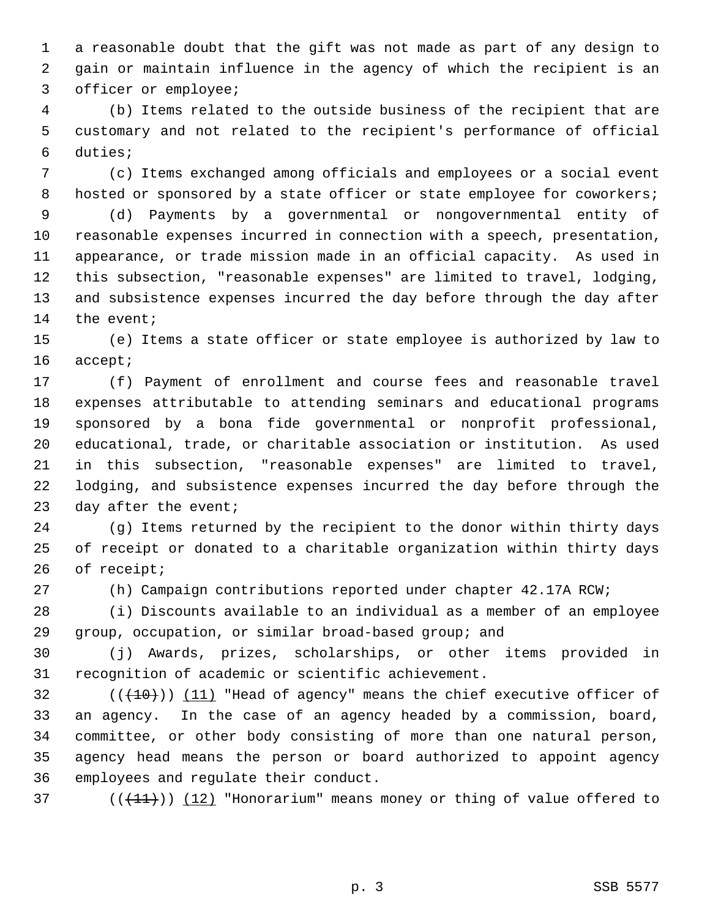1 a reasonable doubt that the gift was not made as part of any design to 2 gain or maintain influence in the agency of which the recipient is an 3 officer or employee;

 4 (b) Items related to the outside business of the recipient that are 5 customary and not related to the recipient's performance of official 6 duties;

 7 (c) Items exchanged among officials and employees or a social event 8 hosted or sponsored by a state officer or state employee for coworkers;

 9 (d) Payments by a governmental or nongovernmental entity of 10 reasonable expenses incurred in connection with a speech, presentation, 11 appearance, or trade mission made in an official capacity. As used in 12 this subsection, "reasonable expenses" are limited to travel, lodging, 13 and subsistence expenses incurred the day before through the day after 14 the event;

15 (e) Items a state officer or state employee is authorized by law to 16 accept;

17 (f) Payment of enrollment and course fees and reasonable travel 18 expenses attributable to attending seminars and educational programs 19 sponsored by a bona fide governmental or nonprofit professional, 20 educational, trade, or charitable association or institution. As used 21 in this subsection, "reasonable expenses" are limited to travel, 22 lodging, and subsistence expenses incurred the day before through the 23 day after the event;

24 (g) Items returned by the recipient to the donor within thirty days 25 of receipt or donated to a charitable organization within thirty days 26 of receipt;

27 (h) Campaign contributions reported under chapter 42.17A RCW;

28 (i) Discounts available to an individual as a member of an employee 29 group, occupation, or similar broad-based group; and

30 (j) Awards, prizes, scholarships, or other items provided in 31 recognition of academic or scientific achievement.

 $(1)(10)(11)$  "Head of agency" means the chief executive officer of 33 an agency. In the case of an agency headed by a commission, board, 34 committee, or other body consisting of more than one natural person, 35 agency head means the person or board authorized to appoint agency 36 employees and regulate their conduct.

37 ( $(\frac{11}{1})$ ) (12) "Honorarium" means money or thing of value offered to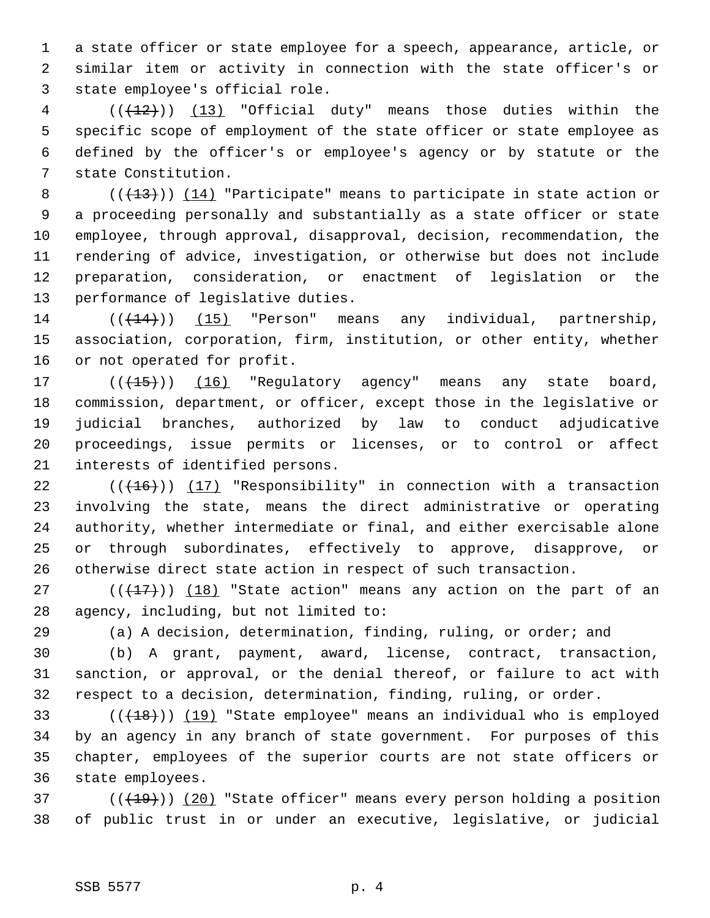1 a state officer or state employee for a speech, appearance, article, or 2 similar item or activity in connection with the state officer's or 3 state employee's official role.

 $4$  (( $(12)$ )) (13) "Official duty" means those duties within the 5 specific scope of employment of the state officer or state employee as 6 defined by the officer's or employee's agency or by statute or the 7 state Constitution.

8 (( $(13)$ ) (14) "Participate" means to participate in state action or 9 a proceeding personally and substantially as a state officer or state 10 employee, through approval, disapproval, decision, recommendation, the 11 rendering of advice, investigation, or otherwise but does not include 12 preparation, consideration, or enactment of legislation or the 13 performance of legislative duties.

 $14$  ( $(\overline{+14})$ ) (15) "Person" means any individual, partnership, 15 association, corporation, firm, institution, or other entity, whether 16 or not operated for profit.

17 (( $(15)$ ) (16) "Regulatory agency" means any state board, 18 commission, department, or officer, except those in the legislative or 19 judicial branches, authorized by law to conduct adjudicative 20 proceedings, issue permits or licenses, or to control or affect 21 interests of identified persons.

22  $((+16))$  (17) "Responsibility" in connection with a transaction 23 involving the state, means the direct administrative or operating 24 authority, whether intermediate or final, and either exercisable alone 25 or through subordinates, effectively to approve, disapprove, or 26 otherwise direct state action in respect of such transaction.

27 ( $(\frac{17}{17})$ ) (18) "State action" means any action on the part of an 28 agency, including, but not limited to:

29 (a) A decision, determination, finding, ruling, or order; and

30 (b) A grant, payment, award, license, contract, transaction, 31 sanction, or approval, or the denial thereof, or failure to act with 32 respect to a decision, determination, finding, ruling, or order.

 $(18)$  (( $19$ ) (19) "State employee" means an individual who is employed 34 by an agency in any branch of state government. For purposes of this 35 chapter, employees of the superior courts are not state officers or 36 state employees.

 $37$  ( $(\overline{+19})$ ) (20) "State officer" means every person holding a position 38 of public trust in or under an executive, legislative, or judicial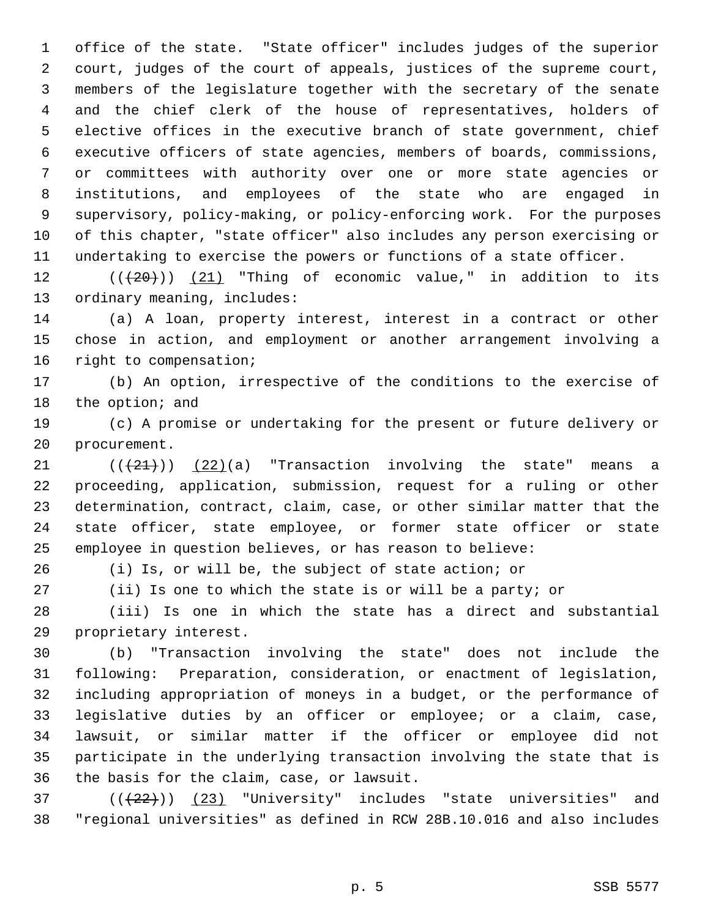1 office of the state. "State officer" includes judges of the superior 2 court, judges of the court of appeals, justices of the supreme court, 3 members of the legislature together with the secretary of the senate 4 and the chief clerk of the house of representatives, holders of 5 elective offices in the executive branch of state government, chief 6 executive officers of state agencies, members of boards, commissions, 7 or committees with authority over one or more state agencies or 8 institutions, and employees of the state who are engaged in 9 supervisory, policy-making, or policy-enforcing work. For the purposes 10 of this chapter, "state officer" also includes any person exercising or 11 undertaking to exercise the powers or functions of a state officer.

12  $((+20))$   $(21)$  "Thing of economic value," in addition to its 13 ordinary meaning, includes:

14 (a) A loan, property interest, interest in a contract or other 15 chose in action, and employment or another arrangement involving a 16 right to compensation;

17 (b) An option, irrespective of the conditions to the exercise of 18 the option; and

19 (c) A promise or undertaking for the present or future delivery or 20 procurement.

21  $((+21))$   $(22)(a)$  "Transaction involving the state" means a 22 proceeding, application, submission, request for a ruling or other 23 determination, contract, claim, case, or other similar matter that the 24 state officer, state employee, or former state officer or state 25 employee in question believes, or has reason to believe:

26 (i) Is, or will be, the subject of state action; or

27 (ii) Is one to which the state is or will be a party; or

28 (iii) Is one in which the state has a direct and substantial 29 proprietary interest.

30 (b) "Transaction involving the state" does not include the 31 following: Preparation, consideration, or enactment of legislation, 32 including appropriation of moneys in a budget, or the performance of 33 legislative duties by an officer or employee; or a claim, case, 34 lawsuit, or similar matter if the officer or employee did not 35 participate in the underlying transaction involving the state that is 36 the basis for the claim, case, or lawsuit.

 $(1 + 22)$ ) (23) "University" includes "state universities" and 38 "regional universities" as defined in RCW 28B.10.016 and also includes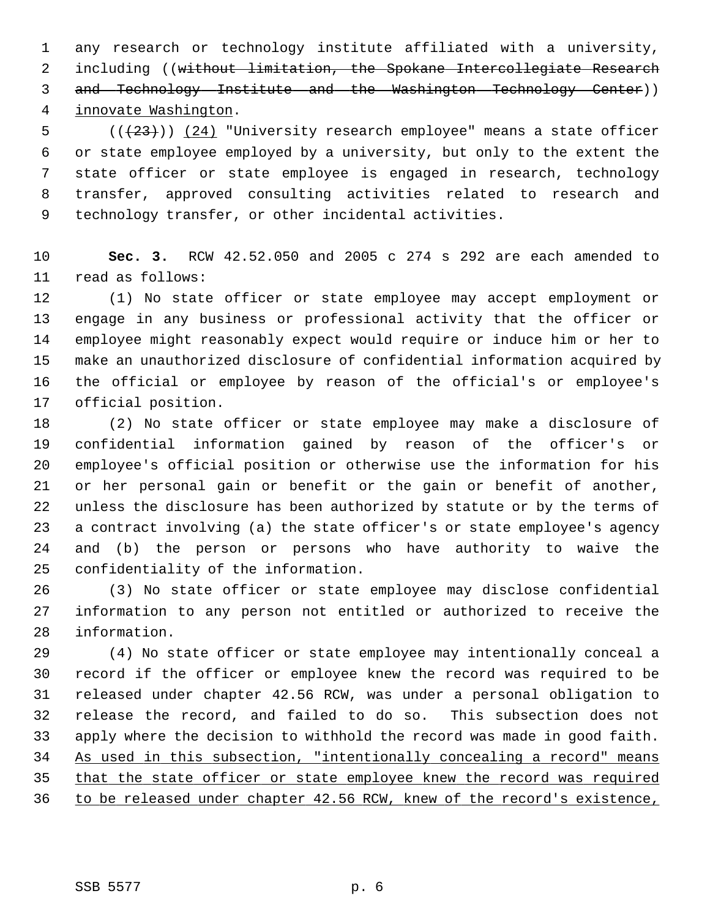1 any research or technology institute affiliated with a university, 2 including ((without limitation, the Spokane Intercollegiate Research 3 and Technology Institute and the Washington Technology Center)) 4 innovate Washington.

 $5$  (( $(23)$ )) (24) "University research employee" means a state officer 6 or state employee employed by a university, but only to the extent the 7 state officer or state employee is engaged in research, technology 8 transfer, approved consulting activities related to research and 9 technology transfer, or other incidental activities.

10 **Sec. 3.** RCW 42.52.050 and 2005 c 274 s 292 are each amended to 11 read as follows:

12 (1) No state officer or state employee may accept employment or 13 engage in any business or professional activity that the officer or 14 employee might reasonably expect would require or induce him or her to 15 make an unauthorized disclosure of confidential information acquired by 16 the official or employee by reason of the official's or employee's 17 official position.

18 (2) No state officer or state employee may make a disclosure of 19 confidential information gained by reason of the officer's or 20 employee's official position or otherwise use the information for his 21 or her personal gain or benefit or the gain or benefit of another, 22 unless the disclosure has been authorized by statute or by the terms of 23 a contract involving (a) the state officer's or state employee's agency 24 and (b) the person or persons who have authority to waive the 25 confidentiality of the information.

26 (3) No state officer or state employee may disclose confidential 27 information to any person not entitled or authorized to receive the 28 information.

29 (4) No state officer or state employee may intentionally conceal a 30 record if the officer or employee knew the record was required to be 31 released under chapter 42.56 RCW, was under a personal obligation to 32 release the record, and failed to do so. This subsection does not 33 apply where the decision to withhold the record was made in good faith. 34 As used in this subsection, "intentionally concealing a record" means 35 that the state officer or state employee knew the record was required 36 to be released under chapter 42.56 RCW, knew of the record's existence,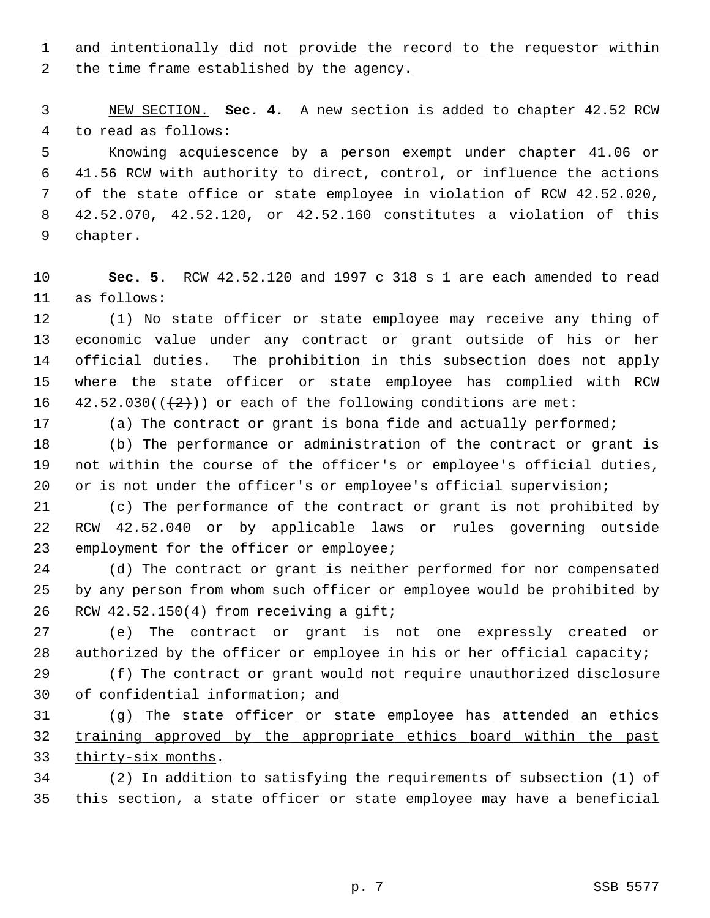1 and intentionally did not provide the record to the requestor within

2 the time frame established by the agency.

 3 NEW SECTION. **Sec. 4.** A new section is added to chapter 42.52 RCW 4 to read as follows:

 5 Knowing acquiescence by a person exempt under chapter 41.06 or 6 41.56 RCW with authority to direct, control, or influence the actions 7 of the state office or state employee in violation of RCW 42.52.020, 8 42.52.070, 42.52.120, or 42.52.160 constitutes a violation of this 9 chapter.

10 **Sec. 5.** RCW 42.52.120 and 1997 c 318 s 1 are each amended to read 11 as follows:

12 (1) No state officer or state employee may receive any thing of 13 economic value under any contract or grant outside of his or her 14 official duties. The prohibition in this subsection does not apply 15 where the state officer or state employee has complied with RCW 16  $42.52.030((+2))$  or each of the following conditions are met:

17 (a) The contract or grant is bona fide and actually performed;

18 (b) The performance or administration of the contract or grant is 19 not within the course of the officer's or employee's official duties, 20 or is not under the officer's or employee's official supervision;

21 (c) The performance of the contract or grant is not prohibited by 22 RCW 42.52.040 or by applicable laws or rules governing outside 23 employment for the officer or employee;

24 (d) The contract or grant is neither performed for nor compensated 25 by any person from whom such officer or employee would be prohibited by 26 RCW 42.52.150(4) from receiving a gift;

27 (e) The contract or grant is not one expressly created or 28 authorized by the officer or employee in his or her official capacity;

29 (f) The contract or grant would not require unauthorized disclosure 30 of confidential information; and

31 (g) The state officer or state employee has attended an ethics 32 training approved by the appropriate ethics board within the past 33 thirty-six months.

34 (2) In addition to satisfying the requirements of subsection (1) of 35 this section, a state officer or state employee may have a beneficial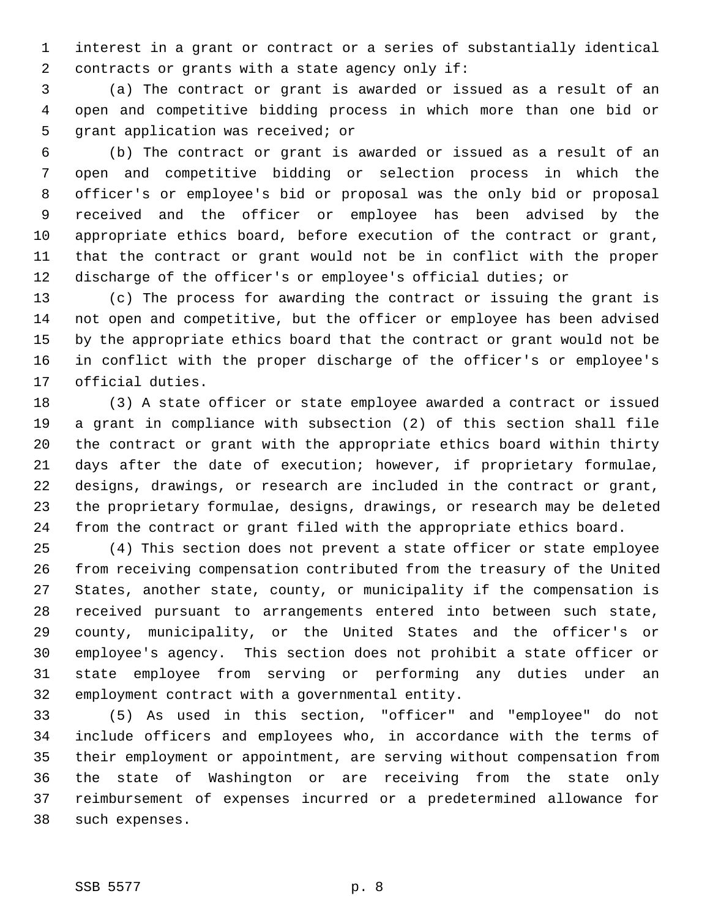1 interest in a grant or contract or a series of substantially identical 2 contracts or grants with a state agency only if:

 3 (a) The contract or grant is awarded or issued as a result of an 4 open and competitive bidding process in which more than one bid or 5 grant application was received; or

 6 (b) The contract or grant is awarded or issued as a result of an 7 open and competitive bidding or selection process in which the 8 officer's or employee's bid or proposal was the only bid or proposal 9 received and the officer or employee has been advised by the 10 appropriate ethics board, before execution of the contract or grant, 11 that the contract or grant would not be in conflict with the proper 12 discharge of the officer's or employee's official duties; or

13 (c) The process for awarding the contract or issuing the grant is 14 not open and competitive, but the officer or employee has been advised 15 by the appropriate ethics board that the contract or grant would not be 16 in conflict with the proper discharge of the officer's or employee's 17 official duties.

18 (3) A state officer or state employee awarded a contract or issued 19 a grant in compliance with subsection (2) of this section shall file 20 the contract or grant with the appropriate ethics board within thirty 21 days after the date of execution; however, if proprietary formulae, 22 designs, drawings, or research are included in the contract or grant, 23 the proprietary formulae, designs, drawings, or research may be deleted 24 from the contract or grant filed with the appropriate ethics board.

25 (4) This section does not prevent a state officer or state employee 26 from receiving compensation contributed from the treasury of the United 27 States, another state, county, or municipality if the compensation is 28 received pursuant to arrangements entered into between such state, 29 county, municipality, or the United States and the officer's or 30 employee's agency. This section does not prohibit a state officer or 31 state employee from serving or performing any duties under an 32 employment contract with a governmental entity.

33 (5) As used in this section, "officer" and "employee" do not 34 include officers and employees who, in accordance with the terms of 35 their employment or appointment, are serving without compensation from 36 the state of Washington or are receiving from the state only 37 reimbursement of expenses incurred or a predetermined allowance for 38 such expenses.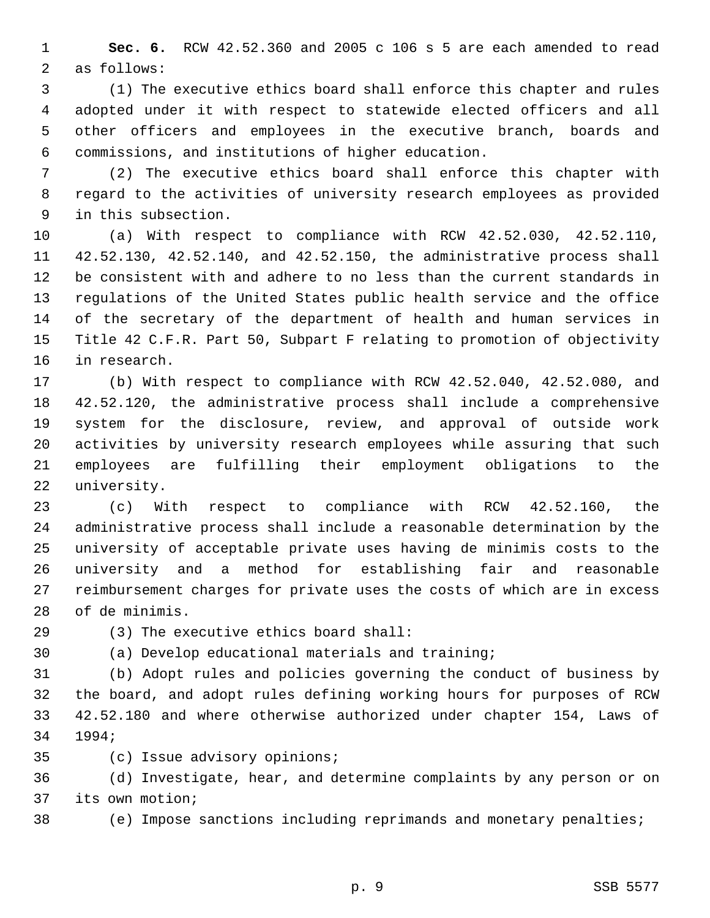1 **Sec. 6.** RCW 42.52.360 and 2005 c 106 s 5 are each amended to read 2 as follows:

 3 (1) The executive ethics board shall enforce this chapter and rules 4 adopted under it with respect to statewide elected officers and all 5 other officers and employees in the executive branch, boards and 6 commissions, and institutions of higher education.

 7 (2) The executive ethics board shall enforce this chapter with 8 regard to the activities of university research employees as provided 9 in this subsection.

10 (a) With respect to compliance with RCW 42.52.030, 42.52.110, 11 42.52.130, 42.52.140, and 42.52.150, the administrative process shall 12 be consistent with and adhere to no less than the current standards in 13 regulations of the United States public health service and the office 14 of the secretary of the department of health and human services in 15 Title 42 C.F.R. Part 50, Subpart F relating to promotion of objectivity 16 in research.

17 (b) With respect to compliance with RCW 42.52.040, 42.52.080, and 18 42.52.120, the administrative process shall include a comprehensive 19 system for the disclosure, review, and approval of outside work 20 activities by university research employees while assuring that such 21 employees are fulfilling their employment obligations to the 22 university.

23 (c) With respect to compliance with RCW 42.52.160, the 24 administrative process shall include a reasonable determination by the 25 university of acceptable private uses having de minimis costs to the 26 university and a method for establishing fair and reasonable 27 reimbursement charges for private uses the costs of which are in excess 28 of de minimis.

29 (3) The executive ethics board shall:

30 (a) Develop educational materials and training;

31 (b) Adopt rules and policies governing the conduct of business by 32 the board, and adopt rules defining working hours for purposes of RCW 33 42.52.180 and where otherwise authorized under chapter 154, Laws of 34 1994;

35 (c) Issue advisory opinions;

36 (d) Investigate, hear, and determine complaints by any person or on 37 its own motion;

38 (e) Impose sanctions including reprimands and monetary penalties;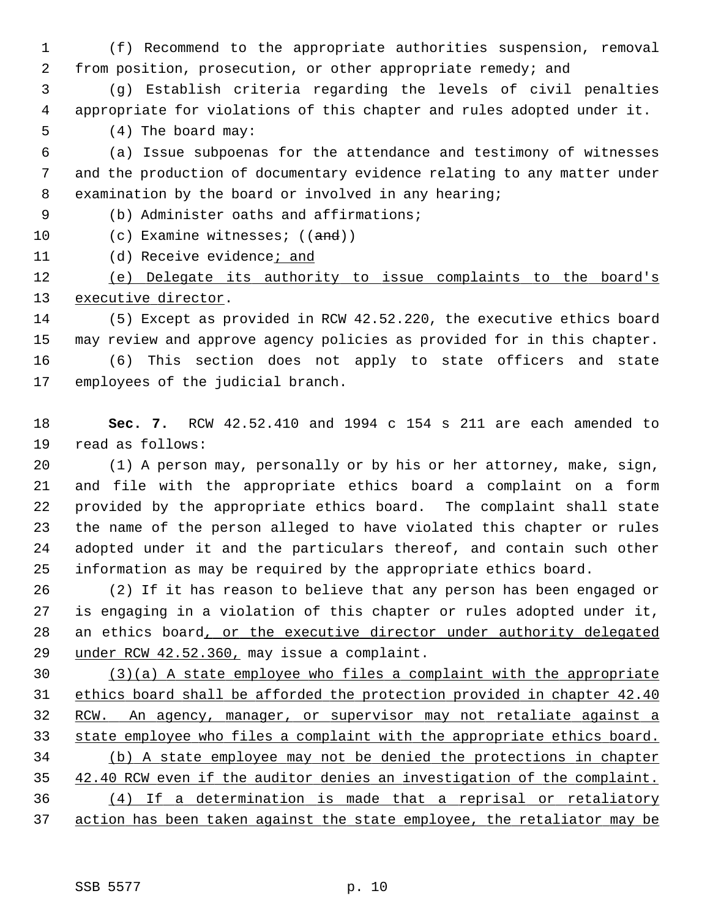1 (f) Recommend to the appropriate authorities suspension, removal 2 from position, prosecution, or other appropriate remedy; and

 3 (g) Establish criteria regarding the levels of civil penalties 4 appropriate for violations of this chapter and rules adopted under it.

5 (4) The board may:

 6 (a) Issue subpoenas for the attendance and testimony of witnesses 7 and the production of documentary evidence relating to any matter under 8 examination by the board or involved in any hearing;

9 (b) Administer oaths and affirmations;

- 10 (c) Examine witnesses; ((and))
- 11 (d) Receive evidence; and

12 (e) Delegate its authority to issue complaints to the board's 13 executive director.

14 (5) Except as provided in RCW 42.52.220, the executive ethics board 15 may review and approve agency policies as provided for in this chapter. 16 (6) This section does not apply to state officers and state 17 employees of the judicial branch.

18 **Sec. 7.** RCW 42.52.410 and 1994 c 154 s 211 are each amended to 19 read as follows:

20 (1) A person may, personally or by his or her attorney, make, sign, 21 and file with the appropriate ethics board a complaint on a form 22 provided by the appropriate ethics board. The complaint shall state 23 the name of the person alleged to have violated this chapter or rules 24 adopted under it and the particulars thereof, and contain such other 25 information as may be required by the appropriate ethics board.

26 (2) If it has reason to believe that any person has been engaged or 27 is engaging in a violation of this chapter or rules adopted under it, 28 an ethics board, or the executive director under authority delegated 29 under RCW 42.52.360, may issue a complaint.

 (3)(a) A state employee who files a complaint with the appropriate ethics board shall be afforded the protection provided in chapter 42.40 RCW. An agency, manager, or supervisor may not retaliate against a state employee who files a complaint with the appropriate ethics board. (b) A state employee may not be denied the protections in chapter 42.40 RCW even if the auditor denies an investigation of the complaint. (4) If a determination is made that a reprisal or retaliatory action has been taken against the state employee, the retaliator may be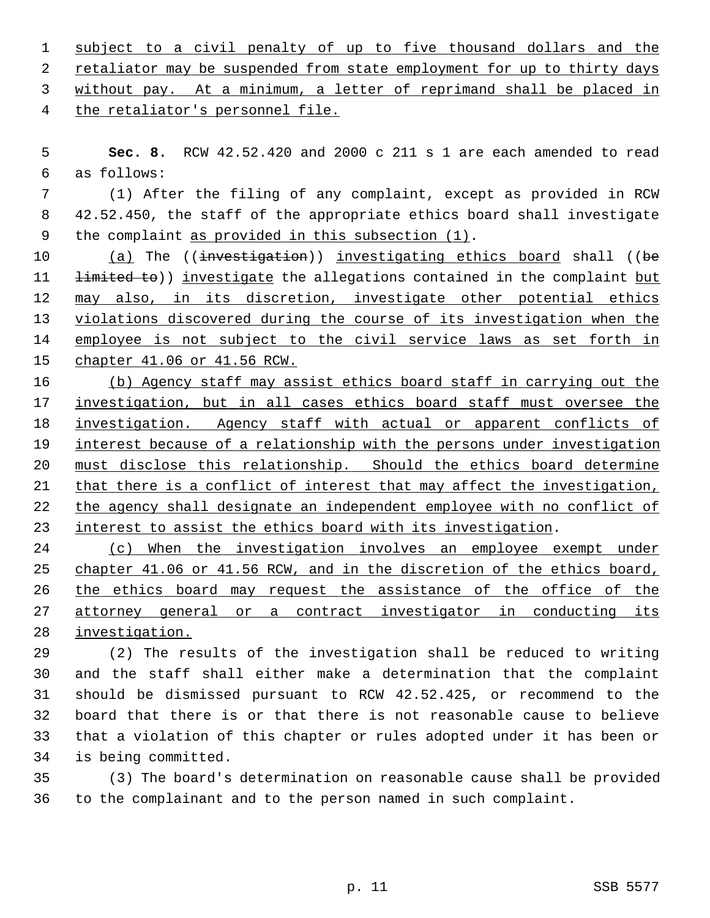| 1 subject to a civil penalty of up to five thousand dollars and the       |  |  |  |  |  |  |
|---------------------------------------------------------------------------|--|--|--|--|--|--|
| 2 retaliator may be suspended from state employment for up to thirty days |  |  |  |  |  |  |
| 3 without pay. At a minimum, a letter of reprimand shall be placed in     |  |  |  |  |  |  |
| 4 the retaliator's personnel file.                                        |  |  |  |  |  |  |

 5 **Sec. 8.** RCW 42.52.420 and 2000 c 211 s 1 are each amended to read 6 as follows:

 7 (1) After the filing of any complaint, except as provided in RCW 8 42.52.450, the staff of the appropriate ethics board shall investigate 9 the complaint as provided in this subsection (1).

10 (a) The ((investigation)) investigating ethics board shall ((be 11 <del>limited to</del>)) investigate the allegations contained in the complaint but 12 may also, in its discretion, investigate other potential ethics 13 violations discovered during the course of its investigation when the 14 employee is not subject to the civil service laws as set forth in 15 chapter 41.06 or 41.56 RCW.

 (b) Agency staff may assist ethics board staff in carrying out the investigation, but in all cases ethics board staff must oversee the investigation. Agency staff with actual or apparent conflicts of interest because of a relationship with the persons under investigation must disclose this relationship. Should the ethics board determine that there is a conflict of interest that may affect the investigation, the agency shall designate an independent employee with no conflict of interest to assist the ethics board with its investigation.

24 (c) When the investigation involves an employee exempt under 25 chapter 41.06 or 41.56 RCW, and in the discretion of the ethics board, 26 the ethics board may request the assistance of the office of the 27 attorney general or a contract investigator in conducting its 28 investigation.

29 (2) The results of the investigation shall be reduced to writing 30 and the staff shall either make a determination that the complaint 31 should be dismissed pursuant to RCW 42.52.425, or recommend to the 32 board that there is or that there is not reasonable cause to believe 33 that a violation of this chapter or rules adopted under it has been or 34 is being committed.

35 (3) The board's determination on reasonable cause shall be provided 36 to the complainant and to the person named in such complaint.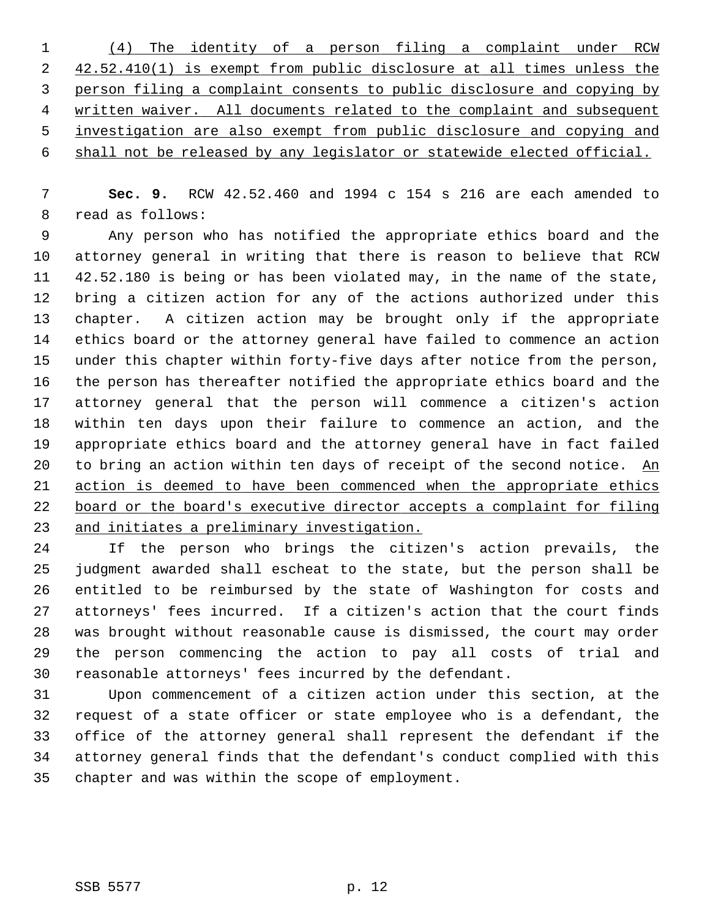|                | (4) The identity of a person filing a complaint under RCW                |
|----------------|--------------------------------------------------------------------------|
| 2              | 42.52.410(1) is exempt from public disclosure at all times unless the    |
| $\overline{3}$ | person filing a complaint consents to public disclosure and copying by   |
| 4              | written waiver. All documents related to the complaint and subsequent    |
| 5              | investigation are also exempt from public disclosure and copying and     |
|                | 6 shall not be released by any legislator or statewide elected official. |

 7 **Sec. 9.** RCW 42.52.460 and 1994 c 154 s 216 are each amended to 8 read as follows:

 9 Any person who has notified the appropriate ethics board and the 10 attorney general in writing that there is reason to believe that RCW 11 42.52.180 is being or has been violated may, in the name of the state, 12 bring a citizen action for any of the actions authorized under this 13 chapter. A citizen action may be brought only if the appropriate 14 ethics board or the attorney general have failed to commence an action 15 under this chapter within forty-five days after notice from the person, 16 the person has thereafter notified the appropriate ethics board and the 17 attorney general that the person will commence a citizen's action 18 within ten days upon their failure to commence an action, and the 19 appropriate ethics board and the attorney general have in fact failed 20 to bring an action within ten days of receipt of the second notice. An 21 action is deemed to have been commenced when the appropriate ethics 22 board or the board's executive director accepts a complaint for filing 23 and initiates a preliminary investigation.

24 If the person who brings the citizen's action prevails, the 25 judgment awarded shall escheat to the state, but the person shall be 26 entitled to be reimbursed by the state of Washington for costs and 27 attorneys' fees incurred. If a citizen's action that the court finds 28 was brought without reasonable cause is dismissed, the court may order 29 the person commencing the action to pay all costs of trial and 30 reasonable attorneys' fees incurred by the defendant.

31 Upon commencement of a citizen action under this section, at the 32 request of a state officer or state employee who is a defendant, the 33 office of the attorney general shall represent the defendant if the 34 attorney general finds that the defendant's conduct complied with this 35 chapter and was within the scope of employment.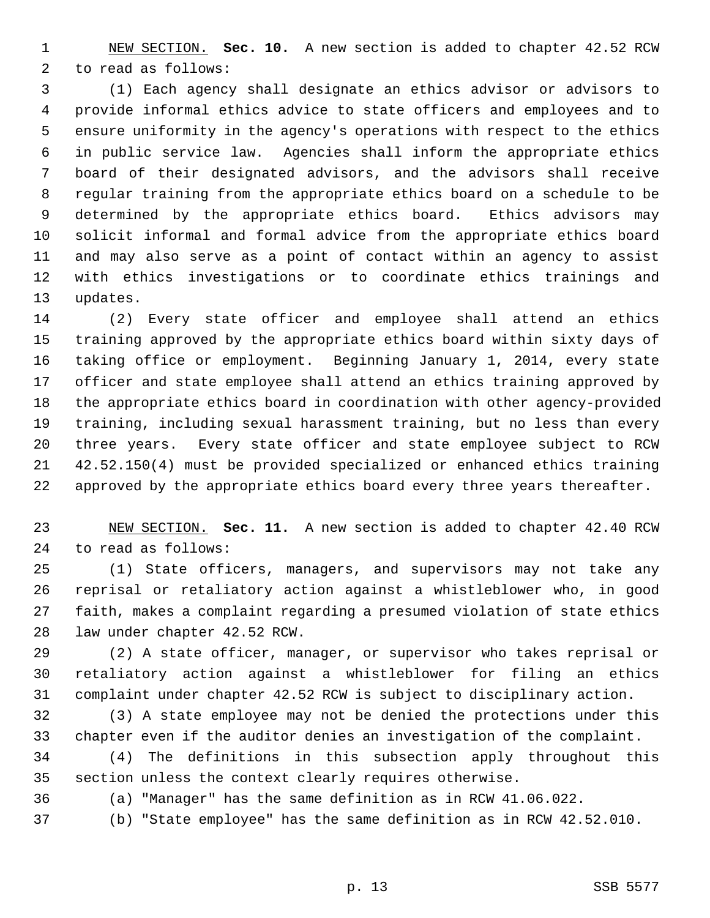1 NEW SECTION. **Sec. 10.** A new section is added to chapter 42.52 RCW 2 to read as follows:

 3 (1) Each agency shall designate an ethics advisor or advisors to 4 provide informal ethics advice to state officers and employees and to 5 ensure uniformity in the agency's operations with respect to the ethics 6 in public service law. Agencies shall inform the appropriate ethics 7 board of their designated advisors, and the advisors shall receive 8 regular training from the appropriate ethics board on a schedule to be 9 determined by the appropriate ethics board. Ethics advisors may 10 solicit informal and formal advice from the appropriate ethics board 11 and may also serve as a point of contact within an agency to assist 12 with ethics investigations or to coordinate ethics trainings and 13 updates.

14 (2) Every state officer and employee shall attend an ethics 15 training approved by the appropriate ethics board within sixty days of 16 taking office or employment. Beginning January 1, 2014, every state 17 officer and state employee shall attend an ethics training approved by 18 the appropriate ethics board in coordination with other agency-provided 19 training, including sexual harassment training, but no less than every 20 three years. Every state officer and state employee subject to RCW 21 42.52.150(4) must be provided specialized or enhanced ethics training 22 approved by the appropriate ethics board every three years thereafter.

23 NEW SECTION. **Sec. 11.** A new section is added to chapter 42.40 RCW 24 to read as follows:

25 (1) State officers, managers, and supervisors may not take any 26 reprisal or retaliatory action against a whistleblower who, in good 27 faith, makes a complaint regarding a presumed violation of state ethics 28 law under chapter 42.52 RCW.

29 (2) A state officer, manager, or supervisor who takes reprisal or 30 retaliatory action against a whistleblower for filing an ethics 31 complaint under chapter 42.52 RCW is subject to disciplinary action.

32 (3) A state employee may not be denied the protections under this 33 chapter even if the auditor denies an investigation of the complaint.

34 (4) The definitions in this subsection apply throughout this 35 section unless the context clearly requires otherwise.

36 (a) "Manager" has the same definition as in RCW 41.06.022.

37 (b) "State employee" has the same definition as in RCW 42.52.010.